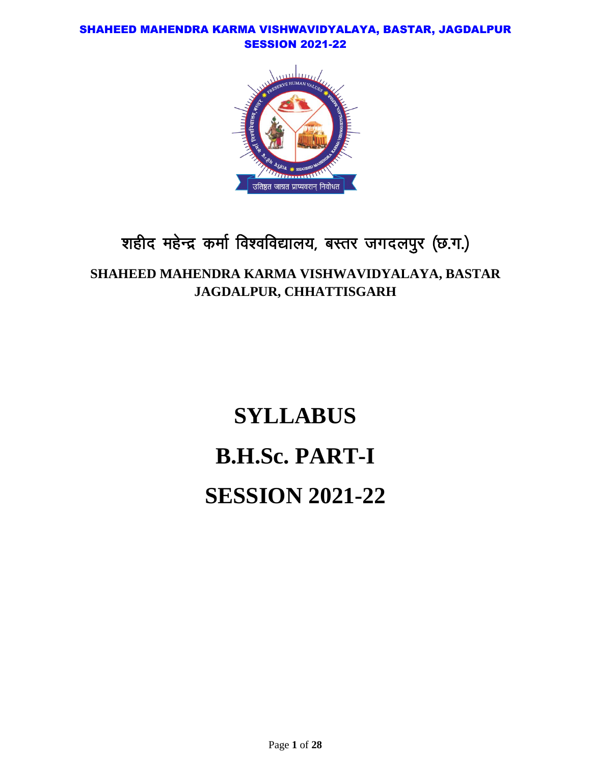

# शहीद महेन्द्र कर्मा विश्वविद्यालय, बस्तर जगदलपुर (छ.ग.)

# **SHAHEED MAHENDRA KARMA VISHWAVIDYALAYA, BASTAR JAGDALPUR, CHHATTISGARH**

# **SYLLABUS B.H.Sc. PART-I SESSION 2021-22**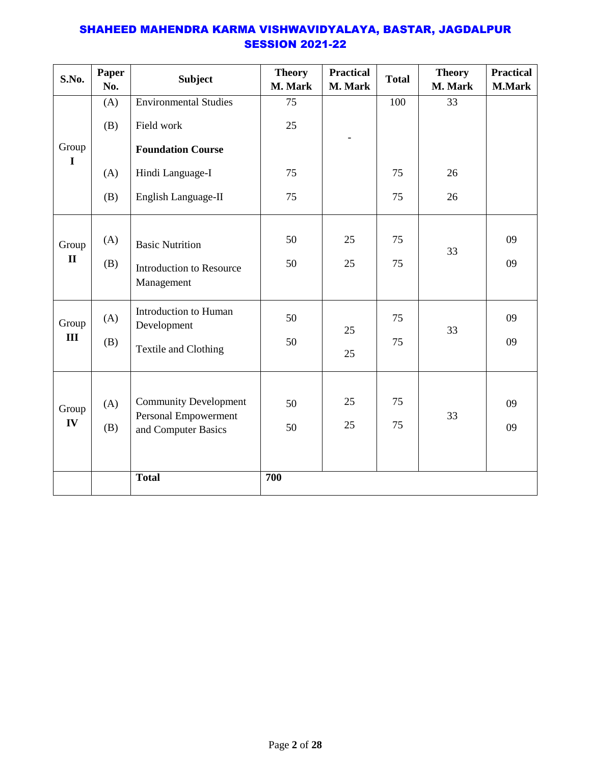| S.No.                 | Paper<br>No. | <b>Subject</b>                                       | <b>Theory</b><br>M. Mark | <b>Practical</b><br>M. Mark | <b>Total</b> | <b>Theory</b><br>M. Mark | <b>Practical</b><br><b>M.Mark</b> |
|-----------------------|--------------|------------------------------------------------------|--------------------------|-----------------------------|--------------|--------------------------|-----------------------------------|
| Group<br>$\mathbf I$  | (A)          | <b>Environmental Studies</b>                         | 75                       |                             | 100          | 33                       |                                   |
|                       | (B)          | Field work                                           | 25                       |                             |              |                          |                                   |
|                       |              | <b>Foundation Course</b>                             |                          |                             |              |                          |                                   |
|                       | (A)          | Hindi Language-I                                     | 75                       |                             | 75           | 26                       |                                   |
|                       | (B)          | English Language-II                                  | 75                       |                             | 75           | 26                       |                                   |
| Group<br>$\mathbf{I}$ | (A)          | <b>Basic Nutrition</b>                               | 50                       | 25                          | 75           | 33                       | 09                                |
|                       | (B)          | Introduction to Resource<br>Management               | 50                       | 25                          | 75           |                          | 09                                |
| Group<br>III          | (A)          | Introduction to Human<br>Development                 | 50                       | 25                          | 75           | 33                       | 09                                |
|                       | (B)          | Textile and Clothing                                 | 50                       | 25                          | 75           |                          | 09                                |
| Group<br>IV           | (A)<br>(B)   | <b>Community Development</b><br>Personal Empowerment | 50<br>50                 | 25<br>25                    | 75<br>75     | 33                       | 09<br>09                          |
|                       |              | and Computer Basics                                  |                          |                             |              |                          |                                   |
|                       |              | <b>Total</b>                                         | 700                      |                             |              |                          |                                   |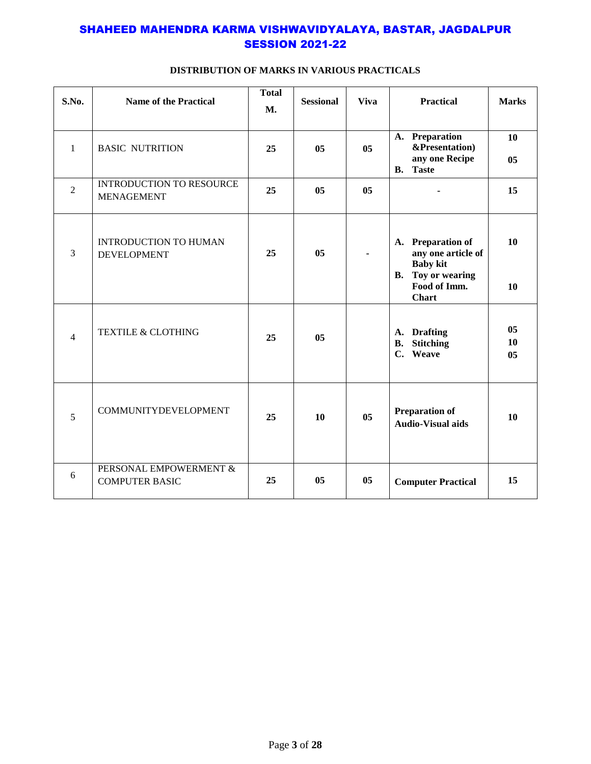| S.No.          | <b>Name of the Practical</b>                         | <b>Total</b><br><b>M.</b> | <b>Sessional</b> | <b>Viva</b> | <b>Practical</b>                                                                       | <b>Marks</b>         |
|----------------|------------------------------------------------------|---------------------------|------------------|-------------|----------------------------------------------------------------------------------------|----------------------|
| $\mathbf{1}$   | <b>BASIC NUTRITION</b>                               | 25                        | 0 <sub>5</sub>   | 05          | A. Preparation<br>&Presentation)<br>any one Recipe<br><b>B.</b> Taste                  | 10<br>0 <sub>5</sub> |
| $\overline{2}$ | <b>INTRODUCTION TO RESOURCE</b><br><b>MENAGEMENT</b> | 25                        | 05               | 05          |                                                                                        | 15                   |
| 3              | <b>INTRODUCTION TO HUMAN</b><br><b>DEVELOPMENT</b>   | 25                        | 05               |             | A. Preparation of<br>any one article of<br><b>Baby kit</b><br><b>B.</b> Toy or wearing | 10                   |
|                |                                                      |                           |                  |             | Food of Imm.<br><b>Chart</b>                                                           | 10                   |
| $\overline{4}$ | <b>TEXTILE &amp; CLOTHING</b>                        | 25                        | 05               |             | A. Drafting<br><b>Stitching</b><br><b>B.</b><br>C. Weave                               | 05<br>10<br>05       |
| 5              | <b>COMMUNITYDEVELOPMENT</b>                          | 25                        | 10               | 05          | <b>Preparation of</b><br><b>Audio-Visual aids</b>                                      | 10                   |
| 6              | PERSONAL EMPOWERMENT &<br><b>COMPUTER BASIC</b>      | 25                        | 05               | 05          | <b>Computer Practical</b>                                                              | 15                   |

#### **DISTRIBUTION OF MARKS IN VARIOUS PRACTICALS**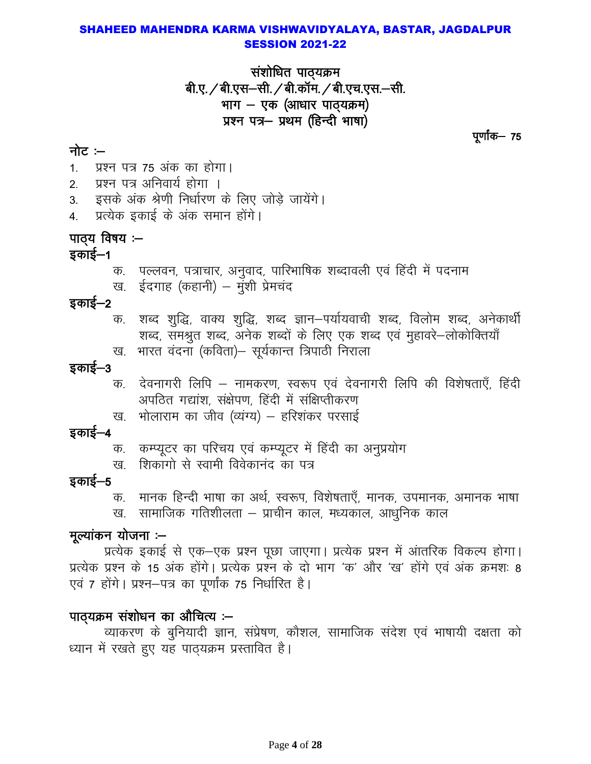संशोधित पाठ्यक्रम बी.ए. / बी.एस-सी. / बी.कॉम. / बी.एच.एस.-सी. भाग  $-$  एक (आधार पाठ्यक्रम) प्रश्न पत्र- प्रथम (हिन्दी भाषा)

पूर्णांक— 75

# नोट $-$

1. प्रश्न पत्र 75 अंक का होगा।

- 2. प्रश्न पत्र अनिवार्य होगा ।
- 3. इसके अंक श्रेणी निर्धारण के लिए जोडे जायेंगे।
- 4. प्रत्येक इकाई के अंक समान होंगे।

# पाठ्य विषय :—

# इकाई $-1$

- क. पल्लवन, पत्राचार, अनुवाद, पारिभाषिक शब्दावली एवं हिंदी में पदनाम
- ख. ईदगाह (कहानी) मुंशी प्रेमचंद

# इकाई—2

- क. शब्द शुद्धि, वाक्य शुद्धि, शब्द ज्ञान–पर्यायवाची शब्द, विलोम शब्द, अनेकार्थी शब्द, समश्रुत शब्द, अनेक शब्दों के लिए एक शब्द एवं मुहावरे-लोकोक्तियाँ
- ख. भारत वंदना (कविता)– सुर्यकान्त त्रिपाठी निराला

# इकाई $-3$

- क. देवनागरी लिपि नामकरण, स्वरूप एवं देवनागरी लिपि की विशेषताएँ, हिंदी अपठित गद्यांश, संक्षेपण, हिंदी में संक्षिप्तीकरण
- ख. भोलाराम का जीव (व्यंग्य) हरिशंकर परसाई

# इकाई–4

- क. कम्प्यूटर का परिचय एवं कम्प्यूटर में हिंदी का अनुप्रयोग
- ख. शिकांगो से स्वामी विवेकानंद का पत्र

# इकाई—5

क. मानक हिन्दी भाषा का अर्थ, स्वरूप, विशेषताएँ, मानक, उपमानक, अमानक भाषा ख. सामाजिक गतिशीलता – प्राचीन काल, मध्यकाल, आधुनिक काल

# मूल्यांकन योजना $:$

प्रत्येक इकाई से एक–एक प्रश्न पूछा जाएगा। प्रत्येक प्रश्न में आंतरिक विकल्प होगा। प्रत्येक प्रश्न के 15 अंक होंगे। प्रत्येक प्रश्न के दो भाग 'क' और 'ख' होंगे एवं अंक क्रमशः 8 एवं 7 होंगे। प्रश्न–पत्र का पर्णांक 75 निर्धारित है।

# पाठ्यक्रम संशोधन का औचित्य :–

व्याकरण के बुनियादी ज्ञान, संप्रेषण, कौशल, सामाजिक संदेश एवं भाषायी दक्षता को ध्यान में रखते हुए यह पाठ्यक्रम प्रस्तावित है।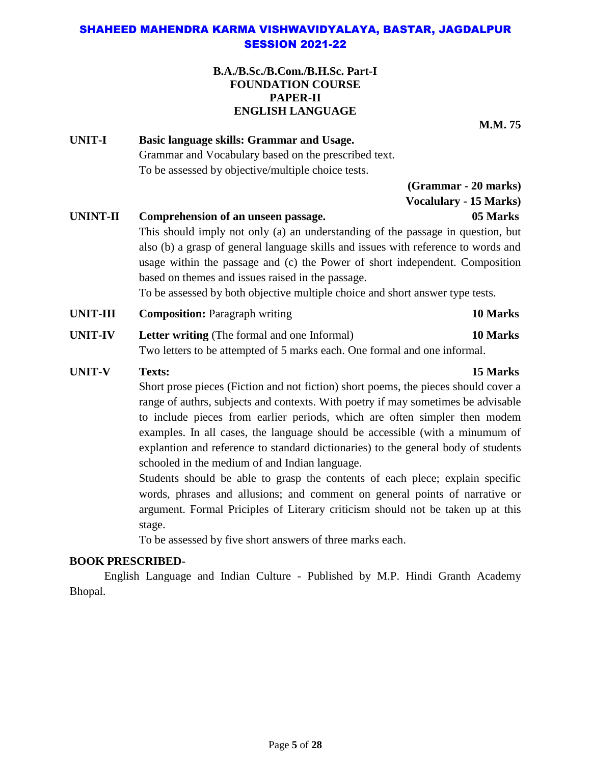## **B.A./B.Sc./B.Com./B.H.Sc. Part-I FOUNDATION COURSE PAPER-II ENGLISH LANGUAGE**

**M.M. 75**

**UNIT-I Basic language skills: Grammar and Usage.** Grammar and Vocabulary based on the prescribed text. To be assessed by objective/multiple choice tests.

> **(Grammar - 20 marks) Vocalulary - 15 Marks)**

# **UNINT-II Comprehension of an unseen passage. 05 Marks** This should imply not only (a) an understanding of the passage in question, but also (b) a grasp of general language skills and issues with reference to words and usage within the passage and (c) the Power of short independent. Composition based on themes and issues raised in the passage.

To be assessed by both objective multiple choice and short answer type tests.

- **UNIT-III Composition:** Paragraph writing **10 Marks**
- **UNIT-IV Letter writing** (The formal and one Informal) **10 Marks** Two letters to be attempted of 5 marks each. One formal and one informal.
- **UNIT-V Texts: 15 Marks**

Short prose pieces (Fiction and not fiction) short poems, the pieces should cover a range of authrs, subjects and contexts. With poetry if may sometimes be advisable to include pieces from earlier periods, which are often simpler then modem examples. In all cases, the language should be accessible (with a minumum of explantion and reference to standard dictionaries) to the general body of students schooled in the medium of and Indian language.

Students should be able to grasp the contents of each plece; explain specific words, phrases and allusions; and comment on general points of narrative or argument. Formal Priciples of Literary criticism should not be taken up at this stage.

To be assessed by five short answers of three marks each.

# **BOOK PRESCRIBED-**

English Language and Indian Culture - Published by M.P. Hindi Granth Academy Bhopal.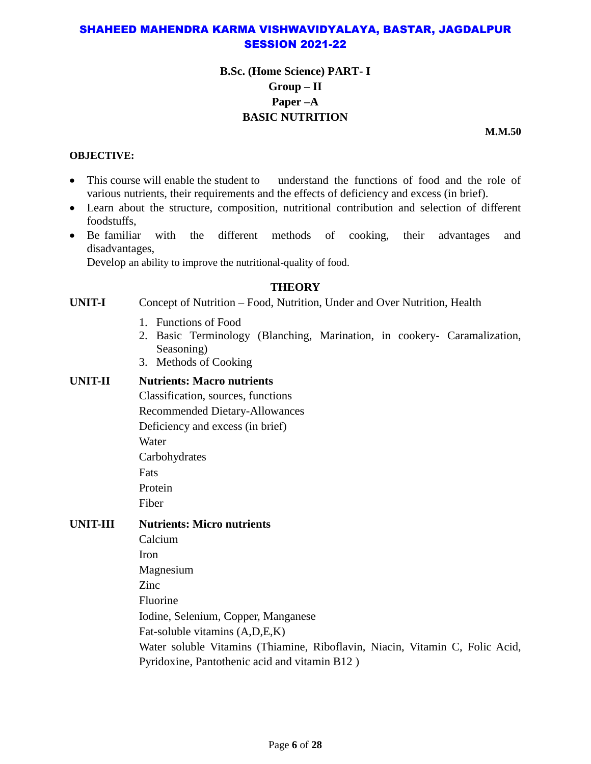# **B.Sc. (Home Science) PART- I Group – II Paper –A BASIC NUTRITION**

**M.M.50**

#### **OBJECTIVE:**

- This course will enable the student to understand the functions of food and the role of various nutrients, their requirements and the effects of deficiency and excess (in brief).
- Learn about the structure, composition, nutritional contribution and selection of different foodstuffs,
- Be familiar with the different methods of cooking, their advantages and disadvantages,

Develop an ability to improve the nutritional-quality of food.

# **THEORY**

**UNIT-I** Concept of Nutrition – Food, Nutrition, Under and Over Nutrition, Health

- 1. Functions of Food
- 2. Basic Terminology (Blanching, Marination, in cookery- Caramalization, Seasoning)
- 3. Methods of Cooking

#### **UNIT-II Nutrients: Macro nutrients**

Classification, sources, functions

Recommended Dietary-Allowances

Deficiency and excess (in brief)

Water

Carbohydrates

Fats

Protein

Fiber

# **UNIT-III Nutrients: Micro nutrients**

Calcium Iron Magnesium Zinc Fluorine Iodine, Selenium, Copper, Manganese Fat-soluble vitamins (A,D,E,K) Water soluble Vitamins (Thiamine, Riboflavin, Niacin, Vitamin C, Folic Acid, Pyridoxine, Pantothenic acid and vitamin B12 )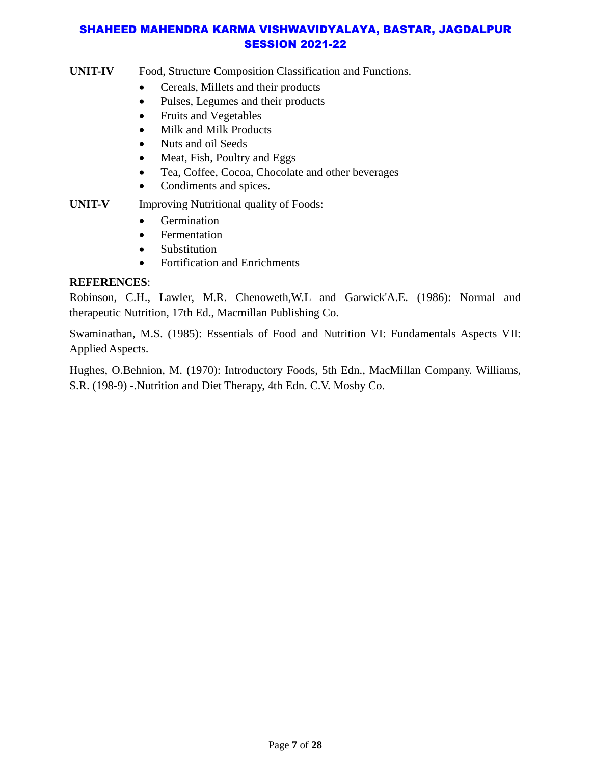#### **UNIT-IV** Food, Structure Composition Classification and Functions.

- Cereals, Millets and their products
- Pulses, Legumes and their products
- Fruits and Vegetables
- Milk and Milk Products
- Nuts and oil Seeds
- Meat, Fish, Poultry and Eggs
- Tea, Coffee, Cocoa, Chocolate and other beverages
- Condiments and spices.

# **UNIT-V** Improving Nutritional quality of Foods:

- Germination
- Fermentation
- Substitution
- Fortification and Enrichments

# **REFERENCES**:

Robinson, C.H., Lawler, M.R. Chenoweth,W.L and Garwick'A.E. (1986): Normal and therapeutic Nutrition, 17th Ed., Macmillan Publishing Co.

Swaminathan, M.S. (1985): Essentials of Food and Nutrition VI: Fundamentals Aspects VII: Applied Aspects.

Hughes, O.Behnion, M. (1970): Introductory Foods, 5th Edn., MacMillan Company. Williams, S.R. (198-9) -.Nutrition and Diet Therapy, 4th Edn. C.V. Mosby Co.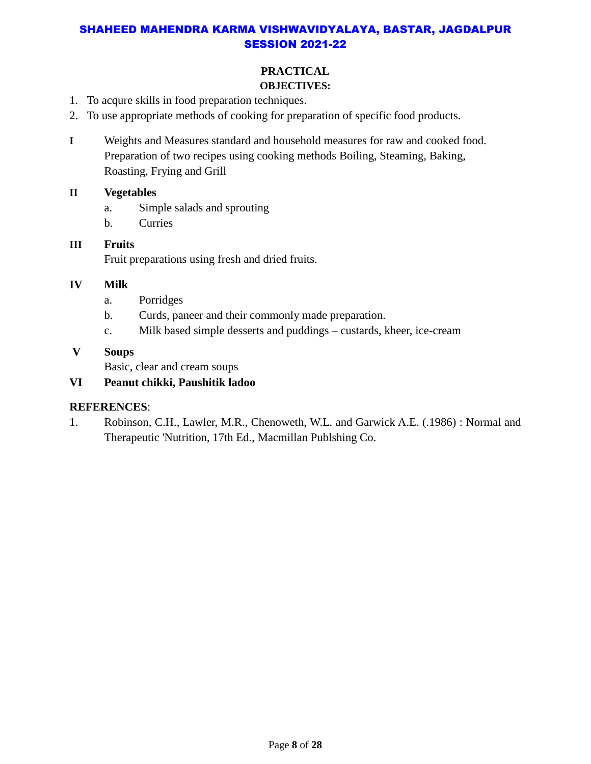# **PRACTICAL**

# **OBJECTIVES:**

- 1. To acqure skills in food preparation techniques.
- 2. To use appropriate methods of cooking for preparation of specific food products.
- **I** Weights and Measures standard and household measures for raw and cooked food. Preparation of two recipes using cooking methods Boiling, Steaming, Baking, Roasting, Frying and Grill

# **II Vegetables**

- a. Simple salads and sprouting
- b. Curries

# **III Fruits**  Fruit preparations using fresh and dried fruits.

# **IV Milk**

- a. Porridges
- b. Curds, paneer and their commonly made preparation.
- c. Milk based simple desserts and puddings custards, kheer, ice-cream

# **V Soups**

Basic, clear and cream soups

# **VI Peanut chikki, Paushitik ladoo**

# **REFERENCES**:

1. Robinson, C.H., Lawler, M.R., Chenoweth, W.L. and Garwick A.E. (.1986) : Normal and Therapeutic 'Nutrition, 17th Ed., Macmillan Publshing Co.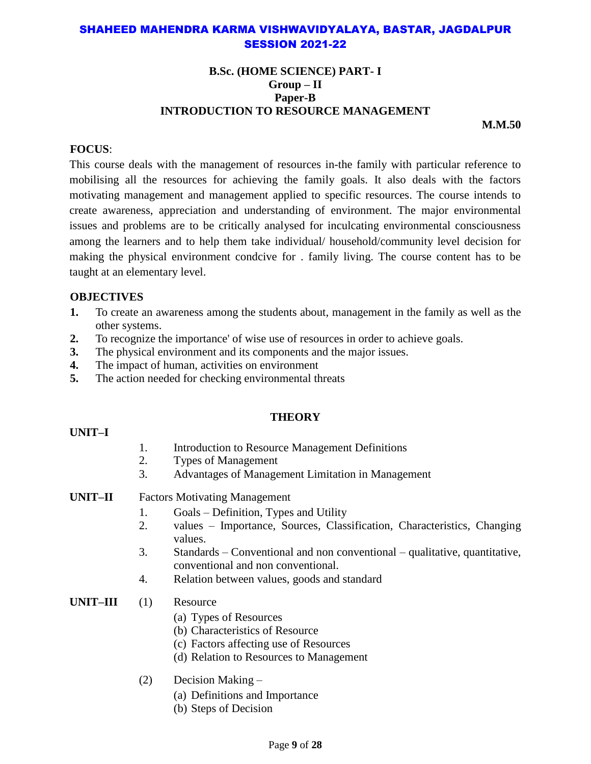#### **B.Sc. (HOME SCIENCE) PART- I Group – II Paper-B INTRODUCTION TO RESOURCE MANAGEMENT**

**M.M.50**

## **FOCUS**:

This course deals with the management of resources in-the family with particular reference to mobilising all the resources for achieving the family goals. It also deals with the factors motivating management and management applied to specific resources. The course intends to create awareness, appreciation and understanding of environment. The major environmental issues and problems are to be critically analysed for inculcating environmental consciousness among the learners and to help them take individual/ household/community level decision for making the physical environment condcive for . family living. The course content has to be taught at an elementary level.

#### **OBJECTIVES**

- **1.** To create an awareness among the students about, management in the family as well as the other systems.
- **2.** To recognize the importance' of wise use of resources in order to achieve goals.
- **3.** The physical environment and its components and the major issues.
- **4.** The impact of human, activities on environment
- **5.** The action needed for checking environmental threats

#### **THEORY**

#### **UNIT–I**

- 1. Introduction to Resource Management Definitions
- 2. Types of Management
- 3. Advantages of Management Limitation in Management
- **UNIT–II** Factors Motivating Management
	- 1. Goals Definition, Types and Utility
	- 2. values Importance, Sources, Classification, Characteristics, Changing values.
	- 3. Standards Conventional and non conventional qualitative, quantitative, conventional and non conventional.
	- 4. Relation between values, goods and standard
- **UNIT–III** (1) Resource
	- (a) Types of Resources
	- (b) Characteristics of Resource
	- (c) Factors affecting use of Resources
	- (d) Relation to Resources to Management
	- (2) Decision Making
		- (a) Definitions and Importance
		- (b) Steps of Decision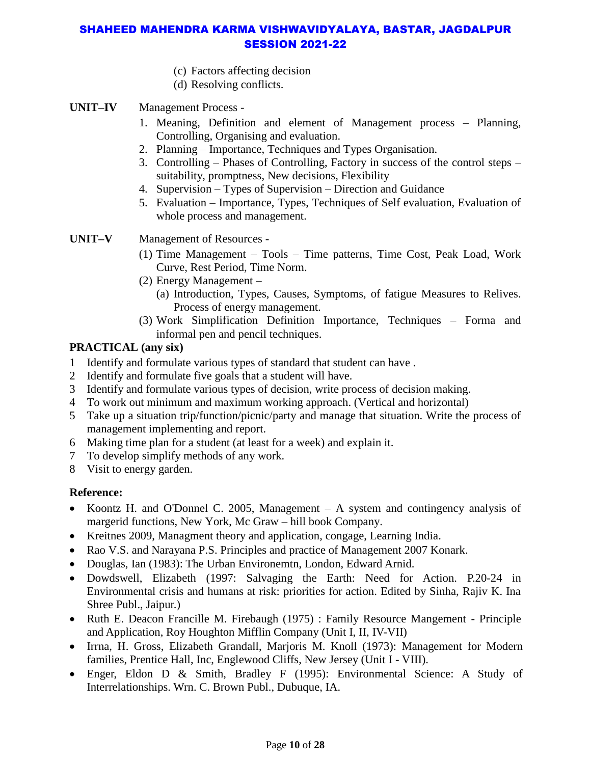- (c) Factors affecting decision
- (d) Resolving conflicts.

## **UNIT–IV** Management Process -

- 1. Meaning, Definition and element of Management process Planning, Controlling, Organising and evaluation.
- 2. Planning Importance, Techniques and Types Organisation.
- 3. Controlling Phases of Controlling, Factory in success of the control steps suitability, promptness, New decisions, Flexibility
- 4. Supervision Types of Supervision Direction and Guidance
- 5. Evaluation Importance, Types, Techniques of Self evaluation, Evaluation of whole process and management.

**UNIT–V** Management of Resources -

- (1) Time Management Tools Time patterns, Time Cost, Peak Load, Work Curve, Rest Period, Time Norm.
- (2) Energy Management
	- (a) Introduction, Types, Causes, Symptoms, of fatigue Measures to Relives. Process of energy management.
- (3) Work Simplification Definition Importance, Techniques Forma and informal pen and pencil techniques.

# **PRACTICAL (any six)**

- 1 Identify and formulate various types of standard that student can have .
- 2 Identify and formulate five goals that a student will have.
- 3 Identify and formulate various types of decision, write process of decision making.
- 4 To work out minimum and maximum working approach. (Vertical and horizontal)
- 5 Take up a situation trip/function/picnic/party and manage that situation. Write the process of management implementing and report.
- 6 Making time plan for a student (at least for a week) and explain it.
- 7 To develop simplify methods of any work.
- 8 Visit to energy garden.

#### **Reference:**

- Koontz H. and O'Donnel C. 2005, Management A system and contingency analysis of margerid functions, New York, Mc Graw – hill book Company.
- Kreitnes 2009, Managment theory and application, congage, Learning India.
- Rao V.S. and Narayana P.S. Principles and practice of Management 2007 Konark.
- Douglas, Ian (1983): The Urban Environemtn, London, Edward Arnid.
- Dowdswell, Elizabeth (1997: Salvaging the Earth: Need for Action. P.20-24 in Environmental crisis and humans at risk: priorities for action. Edited by Sinha, Rajiv K. Ina Shree Publ., Jaipur.)
- Ruth E. Deacon Francille M. Firebaugh (1975) : Family Resource Mangement Principle and Application, Roy Houghton Mifflin Company (Unit I, II, IV-VII)
- Irrna, H. Gross, Elizabeth Grandall, Marjoris M. Knoll (1973): Management for Modern families, Prentice Hall, Inc, Englewood Cliffs, New Jersey (Unit I - VIII).
- Enger, Eldon D & Smith, Bradley F (1995): Environmental Science: A Study of Interrelationships. Wrn. C. Brown Publ., Dubuque, IA.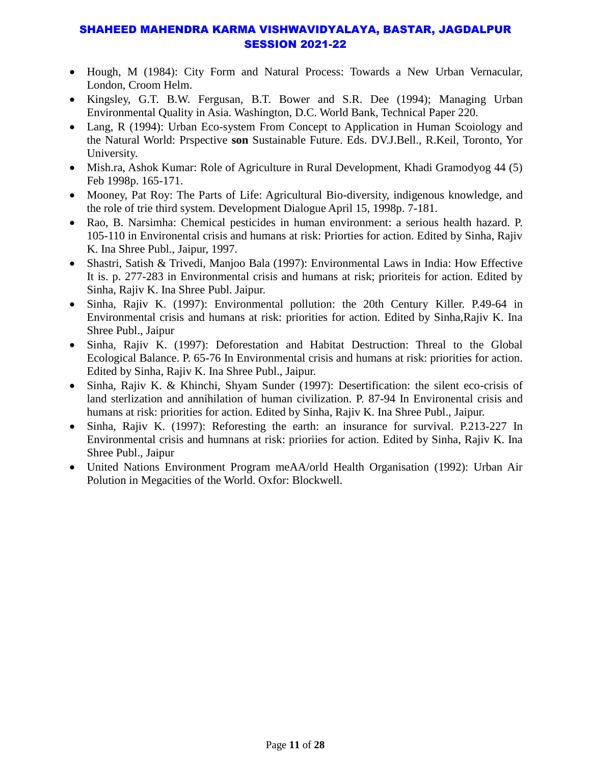- Hough, M (1984): City Form and Natural Process: Towards a New Urban Vernacular, London, Croom Helm.
- Kingsley, G.T. B.W. Fergusan, B.T. Bower and S.R. Dee (1994); Managing Urban Environmental Quality in Asia. Washington, D.C. World Bank, Technical Paper 220.
- Lang, R (1994): Urban Eco-system From Concept to Application in Human Scoiology and the Natural World: Prspective **son** Sustainable Future. Eds. DV.J.Bell., R.Keil, Toronto, Yor University.
- Mish.ra, Ashok Kumar: Role of Agriculture in Rural Development, Khadi Gramodyog 44 (5) Feb 1998p. 165-171.
- Mooney, Pat Roy: The Parts of Life: Agricultural Bio-diversity, indigenous knowledge, and the role of trie third system. Development Dialogue April 15, 1998p. 7-181.
- Rao, B. Narsimha: Chemical pesticides in human environment: a serious health hazard. P. 105-110 in Environental crisis and humans at risk: Priorties for action. Edited by Sinha, Rajiv K. Ina Shree Publ., Jaipur, 1997.
- Shastri, Satish & Trivedi, Manjoo Bala (1997): Environmental Laws in India: How Effective It is. p. 277-283 in Environmental crisis and humans at risk; prioriteis for action. Edited by Sinha, Rajiv K. Ina Shree Publ. Jaipur.
- Sinha, Rajiv K. (1997): Environmental pollution: the 20th Century Killer. P.49-64 in Environmental crisis and humans at risk: priorities for action. Edited by Sinha,Rajiv K. Ina Shree Publ., Jaipur
- Sinha, Rajiv K. (1997): Deforestation and Habitat Destruction: Threal to the Global Ecological Balance. P. 65-76 In Environmental crisis and humans at risk: priorities for action. Edited by Sinha, Rajiv K. Ina Shree Publ., Jaipur.
- Sinha, Rajiv K. & Khinchi, Shyam Sunder (1997): Desertification: the silent eco-crisis of land sterlization and annihilation of human civilization. P. 87-94 In Environental crisis and humans at risk: priorities for action. Edited by Sinha, Rajiv K. Ina Shree Publ., Jaipur.
- Sinha, Rajiv K. (1997): Reforesting the earth: an insurance for survival. P.213-227 In Environmental crisis and humnans at risk: prioriies for action. Edited by Sinha, Rajiv K. Ina Shree Publ., Jaipur
- United Nations Environment Program meAA/orld Health Organisation (1992): Urban Air Polution in Megacities of the World. Oxfor: Blockwell.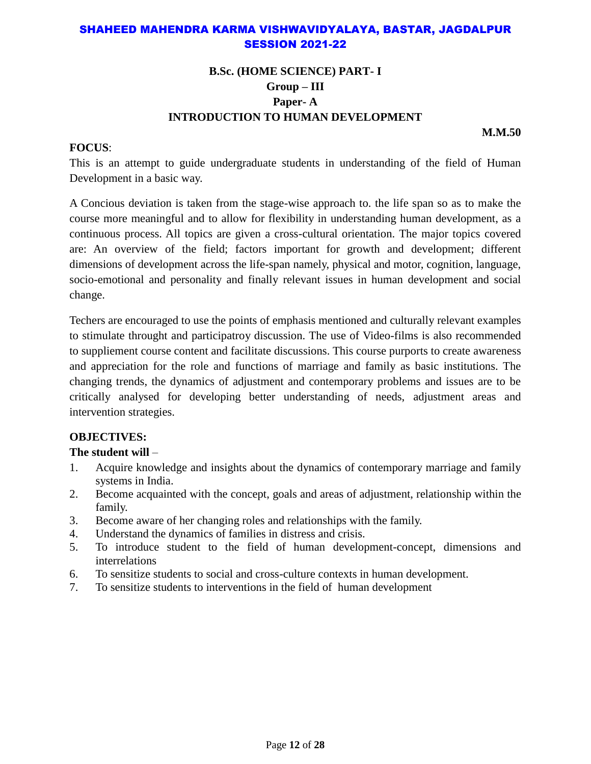# **B.Sc. (HOME SCIENCE) PART- I Group – III Paper- A INTRODUCTION TO HUMAN DEVELOPMENT**

**M.M.50**

#### **FOCUS**:

This is an attempt to guide undergraduate students in understanding of the field of Human Development in a basic way.

A Concious deviation is taken from the stage-wise approach to. the life span so as to make the course more meaningful and to allow for flexibility in understanding human development, as a continuous process. All topics are given a cross-cultural orientation. The major topics covered are: An overview of the field; factors important for growth and development; different dimensions of development across the life-span namely, physical and motor, cognition, language, socio-emotional and personality and finally relevant issues in human development and social change.

Techers are encouraged to use the points of emphasis mentioned and culturally relevant examples to stimulate throught and participatroy discussion. The use of Video-films is also recommended to suppliement course content and facilitate discussions. This course purports to create awareness and appreciation for the role and functions of marriage and family as basic institutions. The changing trends, the dynamics of adjustment and contemporary problems and issues are to be critically analysed for developing better understanding of needs, adjustment areas and intervention strategies.

#### **OBJECTIVES:**

#### **The student will** –

- 1. Acquire knowledge and insights about the dynamics of contemporary marriage and family systems in India.
- 2. Become acquainted with the concept, goals and areas of adjustment, relationship within the family.
- 3. Become aware of her changing roles and relationships with the family.
- 4. Understand the dynamics of families in distress and crisis.
- 5. To introduce student to the field of human development-concept, dimensions and interrelations
- 6. To sensitize students to social and cross-culture contexts in human development.
- 7. To sensitize students to interventions in the field of human development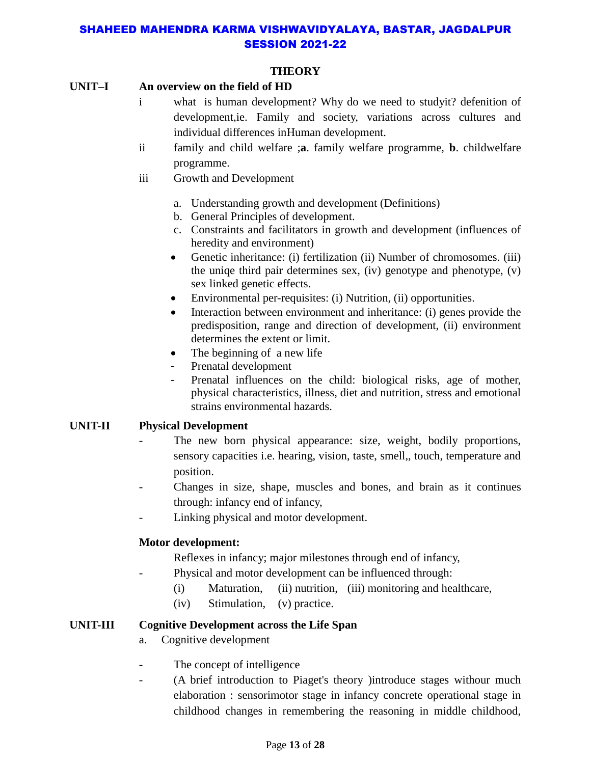## **THEORY**

#### **UNIT–I An overview on the field of HD**

- i what is human development? Why do we need to studyit? defenition of development,ie. Family and society, variations across cultures and individual differences inHuman development.
- ii family and child welfare ;**a**. family welfare programme, **b**. childwelfare programme.
- iii Growth and Development
	- a. Understanding growth and development (Definitions)
	- b. General Principles of development.
	- c. Constraints and facilitators in growth and development (influences of heredity and environment)
	- Genetic inheritance: (i) fertilization (ii) Number of chromosomes. (iii) the uniqe third pair determines sex, (iv) genotype and phenotype, (v) sex linked genetic effects.
	- Environmental per-requisites: (i) Nutrition, (ii) opportunities.
	- Interaction between environment and inheritance: (i) genes provide the predisposition, range and direction of development, (ii) environment determines the extent or limit.
	- The beginning of a new life
	- Prenatal development
	- Prenatal influences on the child: biological risks, age of mother, physical characteristics, illness, diet and nutrition, stress and emotional strains environmental hazards.

#### **UNIT-II Physical Development**

- The new born physical appearance: size, weight, bodily proportions, sensory capacities i.e. hearing, vision, taste, smell,, touch, temperature and position.
- Changes in size, shape, muscles and bones, and brain as it continues through: infancy end of infancy,
- Linking physical and motor development.

# **Motor development:**

- Reflexes in infancy; major milestones through end of infancy,
- Physical and motor development can be influenced through:
	- (i) Maturation, (ii) nutrition, (iii) monitoring and healthcare,
	- (iv) Stimulation, (v) practice.

#### **UNIT-III Cognitive Development across the Life Span**

- a. Cognitive development
- The concept of intelligence
- (A brief introduction to Piaget's theory )introduce stages withour much elaboration : sensorimotor stage in infancy concrete operational stage in childhood changes in remembering the reasoning in middle childhood,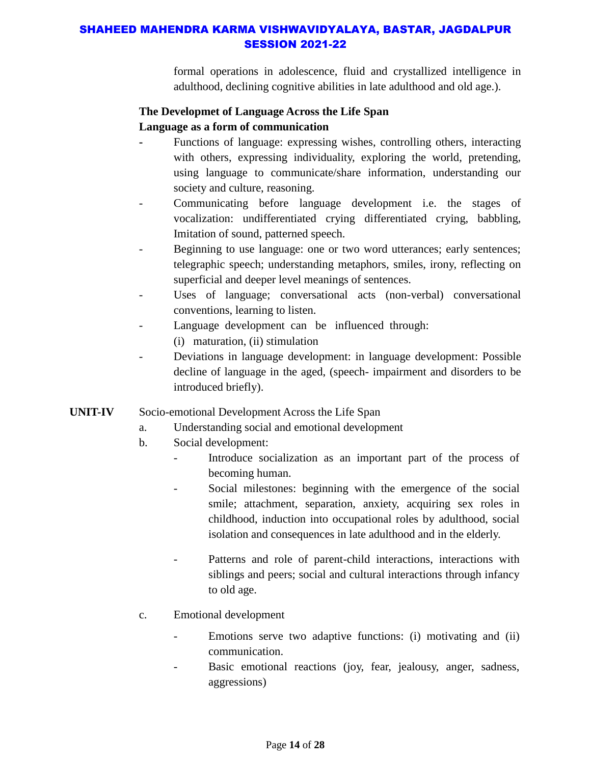formal operations in adolescence, fluid and crystallized intelligence in adulthood, declining cognitive abilities in late adulthood and old age.).

# **The Developmet of Language Across the Life Span Language as a form of communication**

- **-** Functions of language: expressing wishes, controlling others, interacting with others, expressing individuality, exploring the world, pretending, using language to communicate/share information, understanding our society and culture, reasoning.
- Communicating before language development i.e. the stages of vocalization: undifferentiated crying differentiated crying, babbling, Imitation of sound, patterned speech.
- Beginning to use language: one or two word utterances; early sentences; telegraphic speech; understanding metaphors, smiles, irony, reflecting on superficial and deeper level meanings of sentences.
- Uses of language; conversational acts (non-verbal) conversational conventions, learning to listen.
- Language development can be influenced through:
	- (i) maturation, (ii) stimulation
- Deviations in language development: in language development: Possible decline of language in the aged, (speech- impairment and disorders to be introduced briefly).

# **UNIT-IV** Socio-emotional Development Across the Life Span

- a. Understanding social and emotional development
- b. Social development:
	- Introduce socialization as an important part of the process of becoming human.
	- Social milestones: beginning with the emergence of the social smile; attachment, separation, anxiety, acquiring sex roles in childhood, induction into occupational roles by adulthood, social isolation and consequences in late adulthood and in the elderly.
	- Patterns and role of parent-child interactions, interactions with siblings and peers; social and cultural interactions through infancy to old age.
- c. Emotional development
	- Emotions serve two adaptive functions: (i) motivating and (ii) communication.
	- Basic emotional reactions (joy, fear, jealousy, anger, sadness, aggressions)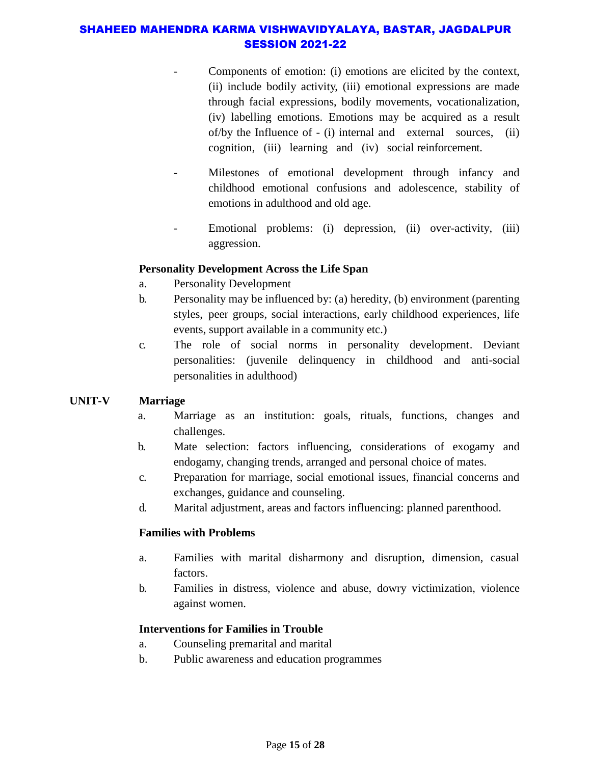- Components of emotion: (i) emotions are elicited by the context, (ii) include bodily activity, (iii) emotional expressions are made through facial expressions, bodily movements, vocationalization, (iv) labelling emotions. Emotions may be acquired as a result of/by the Influence of - (i) internal and external sources, (ii) cognition, (iii) learning and (iv) social reinforcement.
- Milestones of emotional development through infancy and childhood emotional confusions and adolescence, stability of emotions in adulthood and old age.
- Emotional problems: (i) depression, (ii) over-activity, (iii) aggression.

#### **Personality Development Across the Life Span**

- a. Personality Development
- b. Personality may be influenced by: (a) heredity, (b) environment (parenting styles, peer groups, social interactions, early childhood experiences, life events, support available in a community etc.)
- c. The role of social norms in personality development. Deviant personalities: (juvenile delinquency in childhood and anti-social personalities in adulthood)

# **UNIT-V Marriage**

- a. Marriage as an institution: goals, rituals, functions, changes and challenges.
- b. Mate selection: factors influencing, considerations of exogamy and endogamy, changing trends, arranged and personal choice of mates.
- c. Preparation for marriage, social emotional issues, financial concerns and exchanges, guidance and counseling.
- d. Marital adjustment, areas and factors influencing: planned parenthood.

# **Families with Problems**

- a. Families with marital disharmony and disruption, dimension, casual factors.
- b. Families in distress, violence and abuse, dowry victimization, violence against women.

# **Interventions for Families in Trouble**

- a. Counseling premarital and marital
- b. Public awareness and education programmes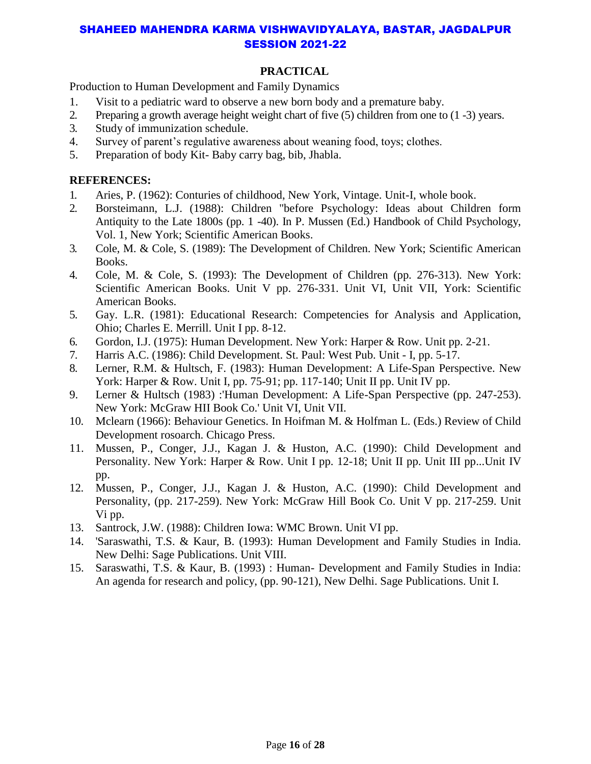# **PRACTICAL**

Production to Human Development and Family Dynamics

- 1. Visit to a pediatric ward to observe a new born body and a premature baby.
- 2. Preparing a growth average height weight chart of five (5) children from one to (1 -3) years.
- 3. Study of immunization schedule.
- 4. Survey of parent's regulative awareness about weaning food, toys; clothes.
- 5. Preparation of body Kit- Baby carry bag, bib, Jhabla.

#### **REFERENCES:**

- 1. Aries, P. (1962): Conturies of childhood, New York, Vintage. Unit-I, whole book.
- 2. Borsteimann, L.J. (1988): Children "before Psychology: Ideas about Children form Antiquity to the Late 1800s (pp. 1 -40). In P. Mussen (Ed.) Handbook of Child Psychology, Vol. 1, New York; Scientific American Books.
- 3. Cole, M. & Cole, S. (1989): The Development of Children. New York; Scientific American Books.
- 4. Cole, M. & Cole, S. (1993): The Development of Children (pp. 276-313). New York: Scientific American Books. Unit V pp. 276-331. Unit VI, Unit VII, York: Scientific American Books.
- 5. Gay. L.R. (1981): Educational Research: Competencies for Analysis and Application, Ohio; Charles E. Merrill. Unit I pp. 8-12.
- 6. Gordon, I.J. (1975): Human Development. New York: Harper & Row. Unit pp. 2-21.
- 7. Harris A.C. (1986): Child Development. St. Paul: West Pub. Unit I, pp. 5-17.
- 8. Lerner, R.M. & Hultsch, F. (1983): Human Development: A Life-Span Perspective. New York: Harper & Row. Unit I, pp. 75-91; pp. 117-140; Unit II pp. Unit IV pp.
- 9. Lerner & Hultsch (1983) :'Human Development: A Life-Span Perspective (pp. 247-253). New York: McGraw HII Book Co.' Unit VI, Unit VII.
- 10. Mclearn (1966): Behaviour Genetics. In Hoifman M. & Holfman L. (Eds.) Review of Child Development rosoarch. Chicago Press.
- 11. Mussen, P., Conger, J.J., Kagan J. & Huston, A.C. (1990): Child Development and Personality. New York: Harper & Row. Unit I pp. 12-18; Unit II pp. Unit III pp...Unit IV pp.
- 12. Mussen, P., Conger, J.J., Kagan J. & Huston, A.C. (1990): Child Development and Personality, (pp. 217-259). New York: McGraw Hill Book Co. Unit V pp. 217-259. Unit Vi pp.
- 13. Santrock, J.W. (1988): Children Iowa: WMC Brown. Unit VI pp.
- 14. 'Saraswathi, T.S. & Kaur, B. (1993): Human Development and Family Studies in India. New Delhi: Sage Publications. Unit VIII.
- 15. Saraswathi, T.S. & Kaur, B. (1993) : Human- Development and Family Studies in India: An agenda for research and policy, (pp. 90-121), New Delhi. Sage Publications. Unit I.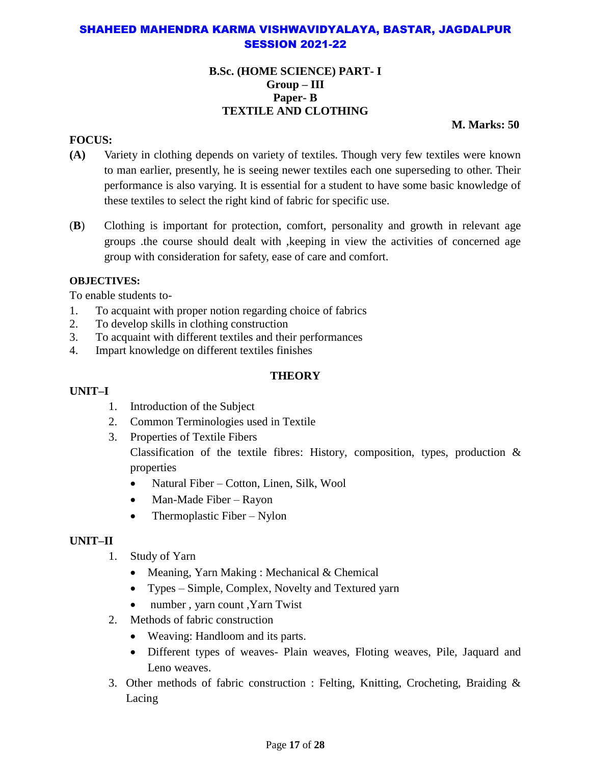#### **B.Sc. (HOME SCIENCE) PART- I Group – III Paper- B TEXTILE AND CLOTHING**

**M. Marks: 50**

#### **FOCUS:**

- **(A)** Variety in clothing depends on variety of textiles. Though very few textiles were known to man earlier, presently, he is seeing newer textiles each one superseding to other. Their performance is also varying. It is essential for a student to have some basic knowledge of these textiles to select the right kind of fabric for specific use.
- (**B**) Clothing is important for protection, comfort, personality and growth in relevant age groups .the course should dealt with ,keeping in view the activities of concerned age group with consideration for safety, ease of care and comfort.

#### **OBJECTIVES:**

To enable students to-

- 1. To acquaint with proper notion regarding choice of fabrics
- 2. To develop skills in clothing construction
- 3. To acquaint with different textiles and their performances
- 4. Impart knowledge on different textiles finishes

# **THEORY**

#### **UNIT–I**

- 1. Introduction of the Subject
- 2. Common Terminologies used in Textile
- 3. Properties of Textile Fibers Classification of the textile fibres: History, composition, types, production & properties
	- Natural Fiber Cotton, Linen, Silk, Wool
	- Man-Made Fiber Rayon
	- Thermoplastic Fiber Nylon

# **UNIT–II**

- 1. Study of Yarn
	- Meaning, Yarn Making : Mechanical  $&$  Chemical
	- Types Simple, Complex, Novelty and Textured yarn
	- number , yarn count ,Yarn Twist
- 2. Methods of fabric construction
	- Weaving: Handloom and its parts.
	- Different types of weaves- Plain weaves, Floting weaves, Pile, Jaquard and Leno weaves.
- 3. Other methods of fabric construction : Felting, Knitting, Crocheting, Braiding & Lacing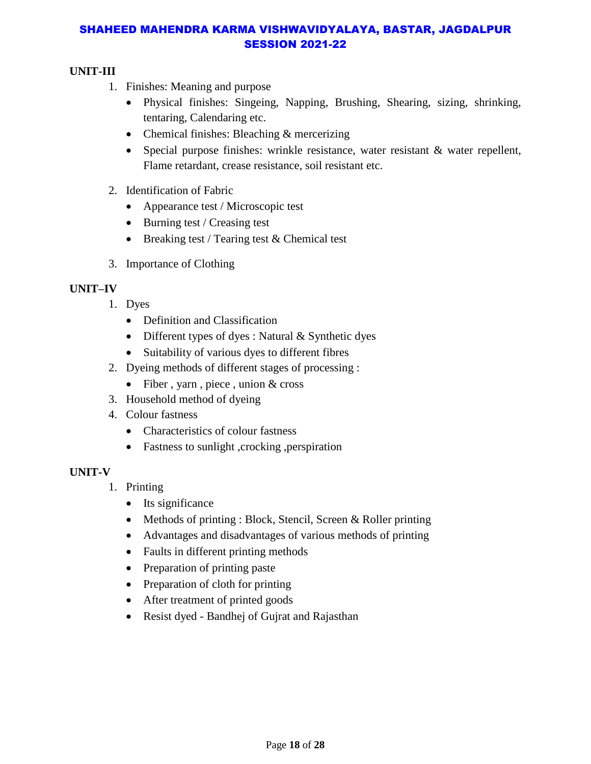# **UNIT-III**

- 1. Finishes: Meaning and purpose
	- Physical finishes: Singeing, Napping, Brushing, Shearing, sizing, shrinking, tentaring, Calendaring etc.
	- Chemical finishes: Bleaching & mercerizing
	- Special purpose finishes: wrinkle resistance, water resistant & water repellent, Flame retardant, crease resistance, soil resistant etc.
- 2. Identification of Fabric
	- Appearance test / Microscopic test
	- Burning test / Creasing test
	- $\bullet$  Breaking test / Tearing test & Chemical test
- 3. Importance of Clothing

# **UNIT–IV**

- 1. Dyes
	- Definition and Classification
	- Different types of dyes : Natural & Synthetic dyes
	- Suitability of various dyes to different fibres
- 2. Dyeing methods of different stages of processing :
	- Fiber, yarn, piece, union  $&$  cross
- 3. Household method of dyeing
- 4. Colour fastness
	- Characteristics of colour fastness
	- Fastness to sunlight ,crocking ,perspiration

# **UNIT-V**

- 1. Printing
	- Its significance
	- Methods of printing : Block, Stencil, Screen & Roller printing
	- Advantages and disadvantages of various methods of printing
	- Faults in different printing methods
	- Preparation of printing paste
	- Preparation of cloth for printing
	- After treatment of printed goods
	- Resist dyed Bandhej of Gujrat and Rajasthan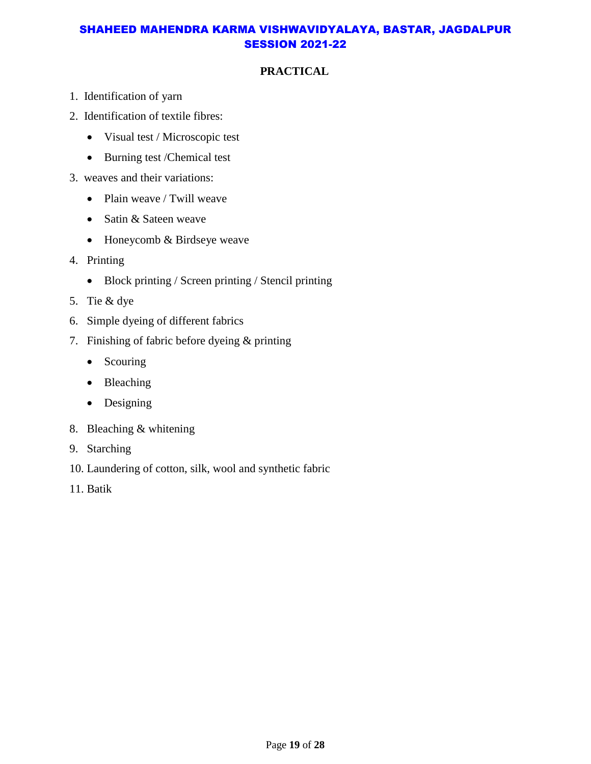# **PRACTICAL**

- 1. Identification of yarn
- 2. Identification of textile fibres:
	- Visual test / Microscopic test
	- Burning test /Chemical test
- 3. weaves and their variations:
	- Plain weave / Twill weave
	- Satin & Sateen weave
	- Honeycomb & Birdseye weave
- 4. Printing
	- Block printing / Screen printing / Stencil printing
- 5. Tie & dye
- 6. Simple dyeing of different fabrics
- 7. Finishing of fabric before dyeing & printing
	- Scouring
	- Bleaching
	- Designing
- 8. Bleaching & whitening
- 9. Starching
- 10. Laundering of cotton, silk, wool and synthetic fabric
- 11. Batik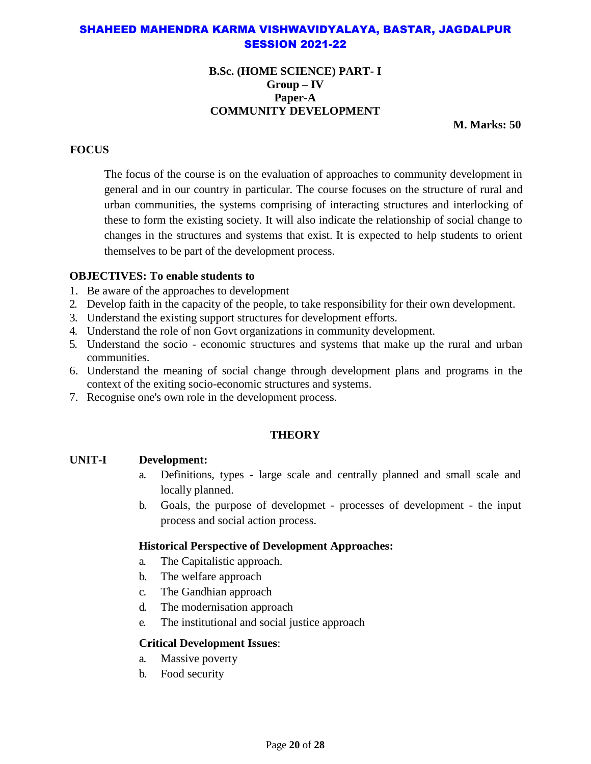#### **B.Sc. (HOME SCIENCE) PART- I Group – IV Paper-A COMMUNITY DEVELOPMENT**

**M. Marks: 50**

## **FOCUS**

The focus of the course is on the evaluation of approaches to community development in general and in our country in particular. The course focuses on the structure of rural and urban communities, the systems comprising of interacting structures and interlocking of these to form the existing society. It will also indicate the relationship of social change to changes in the structures and systems that exist. It is expected to help students to orient themselves to be part of the development process.

#### **OBJECTIVES: To enable students to**

- 1. Be aware of the approaches to development
- 2. Develop faith in the capacity of the people, to take responsibility for their own development.
- 3. Understand the existing support structures for development efforts.
- 4. Understand the role of non Govt organizations in community development.
- 5. Understand the socio economic structures and systems that make up the rural and urban communities.
- 6. Understand the meaning of social change through development plans and programs in the context of the exiting socio-economic structures and systems.
- 7. Recognise one's own role in the development process.

# **THEORY**

#### **UNIT-I Development:**

- a. Definitions, types large scale and centrally planned and small scale and locally planned.
- b. Goals, the purpose of developmet processes of development the input process and social action process.

#### **Historical Perspective of Development Approaches:**

- a. The Capitalistic approach.
- b. The welfare approach
- c. The Gandhian approach
- d. The modernisation approach
- e. The institutional and social justice approach

#### **Critical Development Issues**:

- a. Massive poverty
- b. Food security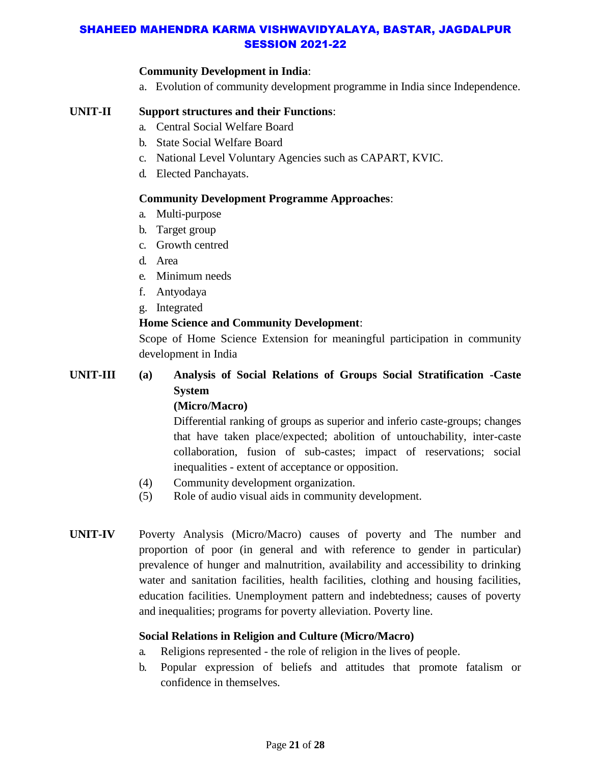#### **Community Development in India**:

a. Evolution of community development programme in India since Independence.

# **UNIT-II Support structures and their Functions**:

- a. Central Social Welfare Board
- b. State Social Welfare Board
- c. National Level Voluntary Agencies such as CAPART, KVIC.
- d. Elected Panchayats.

#### **Community Development Programme Approaches**:

- a. Multi-purpose
- b. Target group
- c. Growth centred
- d. Area
- e. Minimum needs
- f. Antyodaya
- g. Integrated

#### **Home Science and Community Development**:

Scope of Home Science Extension for meaningful participation in community development in India

# **UNIT-III (a) Analysis of Social Relations of Groups Social Stratification -Caste System**

# **(Micro/Macro)**

Differential ranking of groups as superior and inferio caste-groups; changes that have taken place/expected; abolition of untouchability, inter-caste collaboration, fusion of sub-castes; impact of reservations; social inequalities - extent of acceptance or opposition.

- (4) Community development organization.
- (5) Role of audio visual aids in community development.
- **UNIT-IV** Poverty Analysis (Micro/Macro) causes of poverty and The number and proportion of poor (in general and with reference to gender in particular) prevalence of hunger and malnutrition, availability and accessibility to drinking water and sanitation facilities, health facilities, clothing and housing facilities, education facilities. Unemployment pattern and indebtedness; causes of poverty and inequalities; programs for poverty alleviation. Poverty line.

# **Social Relations in Religion and Culture (Micro/Macro)**

- a. Religions represented the role of religion in the lives of people.
- b. Popular expression of beliefs and attitudes that promote fatalism or confidence in themselves.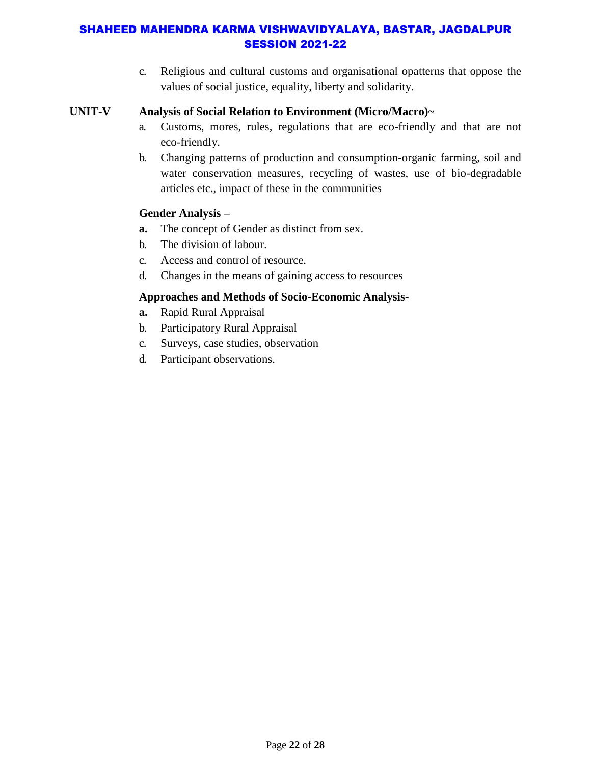c. Religious and cultural customs and organisational opatterns that oppose the values of social justice, equality, liberty and solidarity.

#### **UNIT-V Analysis of Social Relation to Environment (Micro/Macro)~**

- a. Customs, mores, rules, regulations that are eco-friendly and that are not eco-friendly.
- b. Changing patterns of production and consumption-organic farming, soil and water conservation measures, recycling of wastes, use of bio-degradable articles etc., impact of these in the communities

#### **Gender Analysis –**

- **a.** The concept of Gender as distinct from sex.
- b. The division of labour.
- c. Access and control of resource.
- d. Changes in the means of gaining access to resources

#### **Approaches and Methods of Socio-Economic Analysis-**

- **a.** Rapid Rural Appraisal
- b. Participatory Rural Appraisal
- c. Surveys, case studies, observation
- d. Participant observations.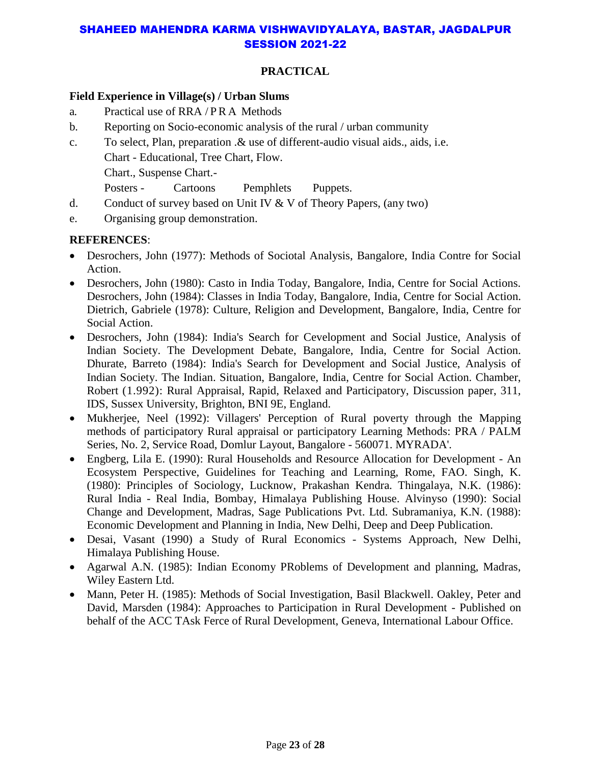# **PRACTICAL**

#### **Field Experience in Village(s) / Urban Slums**

- a. Practical use of RRA / P R A Methods
- b. Reporting on Socio-economic analysis of the rural / urban community
- c. To select, Plan, preparation .& use of different-audio visual aids., aids, i.e. Chart - Educational, Tree Chart, Flow. Chart., Suspense Chart.- Posters - Cartoons Pemphlets Puppets.
- d. Conduct of survey based on Unit IV  $&$  V of Theory Papers, (any two)
- e. Organising group demonstration.

#### **REFERENCES**:

- Desrochers, John (1977): Methods of Sociotal Analysis, Bangalore, India Contre for Social Action.
- Desrochers, John (1980): Casto in India Today, Bangalore, India, Centre for Social Actions. Desrochers, John (1984): Classes in India Today, Bangalore, India, Centre for Social Action. Dietrich, Gabriele (1978): Culture, Religion and Development, Bangalore, India, Centre for Social Action.
- Desrochers, John (1984): India's Search for Cevelopment and Social Justice, Analysis of Indian Society. The Development Debate, Bangalore, India, Centre for Social Action. Dhurate, Barreto (1984): India's Search for Development and Social Justice, Analysis of Indian Society. The Indian. Situation, Bangalore, India, Centre for Social Action. Chamber, Robert (1.992): Rural Appraisal, Rapid, Relaxed and Participatory, Discussion paper, 311, IDS, Sussex University, Brighton, BNI 9E, England.
- Mukherjee, Neel (1992): Villagers' Perception of Rural poverty through the Mapping methods of participatory Rural appraisal or participatory Learning Methods: PRA / PALM Series, No. 2, Service Road, Domlur Layout, Bangalore - 560071. MYRADA'.
- Engberg, Lila E. (1990): Rural Households and Resource Allocation for Development An Ecosystem Perspective, Guidelines for Teaching and Learning, Rome, FAO. Singh, K. (1980): Principles of Sociology, Lucknow, Prakashan Kendra. Thingalaya, N.K. (1986): Rural India - Real India, Bombay, Himalaya Publishing House. Alvinyso (1990): Social Change and Development, Madras, Sage Publications Pvt. Ltd. Subramaniya, K.N. (1988): Economic Development and Planning in India, New Delhi, Deep and Deep Publication.
- Desai, Vasant (1990) a Study of Rural Economics Systems Approach, New Delhi, Himalaya Publishing House.
- Agarwal A.N. (1985): Indian Economy PRoblems of Development and planning, Madras, Wiley Eastern Ltd.
- Mann, Peter H. (1985): Methods of Social Investigation, Basil Blackwell. Oakley, Peter and David, Marsden (1984): Approaches to Participation in Rural Development - Published on behalf of the ACC TAsk Ferce of Rural Development, Geneva, International Labour Office.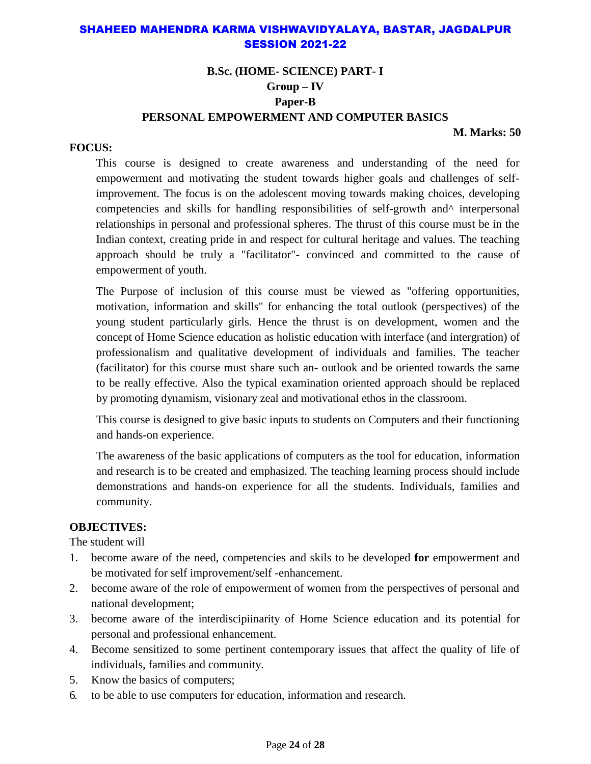# **B.Sc. (HOME- SCIENCE) PART- I Group – IV Paper-B PERSONAL EMPOWERMENT AND COMPUTER BASICS**

**M. Marks: 50**

#### **FOCUS:**

This course is designed to create awareness and understanding of the need for empowerment and motivating the student towards higher goals and challenges of selfimprovement. The focus is on the adolescent moving towards making choices, developing competencies and skills for handling responsibilities of self-growth and  $\land$  interpersonal relationships in personal and professional spheres. The thrust of this course must be in the Indian context, creating pride in and respect for cultural heritage and values. The teaching approach should be truly a "facilitator"- convinced and committed to the cause of empowerment of youth.

The Purpose of inclusion of this course must be viewed as "offering opportunities, motivation, information and skills" for enhancing the total outlook (perspectives) of the young student particularly girls. Hence the thrust is on development, women and the concept of Home Science education as holistic education with interface (and intergration) of professionalism and qualitative development of individuals and families. The teacher (facilitator) for this course must share such an- outlook and be oriented towards the same to be really effective. Also the typical examination oriented approach should be replaced by promoting dynamism, visionary zeal and motivational ethos in the classroom.

This course is designed to give basic inputs to students on Computers and their functioning and hands-on experience.

The awareness of the basic applications of computers as the tool for education, information and research is to be created and emphasized. The teaching learning process should include demonstrations and hands-on experience for all the students. Individuals, families and community.

#### **OBJECTIVES:**

The student will

- 1. become aware of the need, competencies and skils to be developed **for** empowerment and be motivated for self improvement/self -enhancement.
- 2. become aware of the role of empowerment of women from the perspectives of personal and national development;
- 3. become aware of the interdiscipiinarity of Home Science education and its potential for personal and professional enhancement.
- 4. Become sensitized to some pertinent contemporary issues that affect the quality of life of individuals, families and community.
- 5. Know the basics of computers;
- 6. to be able to use computers for education, information and research.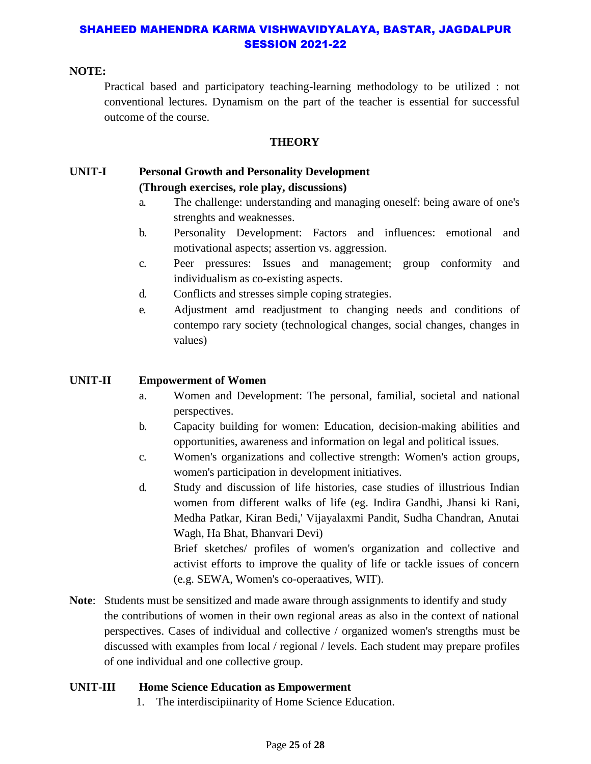#### **NOTE:**

Practical based and participatory teaching-learning methodology to be utilized : not conventional lectures. Dynamism on the part of the teacher is essential for successful outcome of the course.

#### **THEORY**

#### **UNIT-I Personal Growth and Personality Development (Through exercises, role play, discussions)**

- a. The challenge: understanding and managing oneself: being aware of one's strenghts and weaknesses.
- b. Personality Development: Factors and influences: emotional and motivational aspects; assertion vs. aggression.
- c. Peer pressures: Issues and management; group conformity and individualism as co-existing aspects.
- d. Conflicts and stresses simple coping strategies.
- e. Adjustment amd readjustment to changing needs and conditions of contempo rary society (technological changes, social changes, changes in values)

#### **UNIT-II Empowerment of Women**

- a. Women and Development: The personal, familial, societal and national perspectives.
- b. Capacity building for women: Education, decision-making abilities and opportunities, awareness and information on legal and political issues.
- c. Women's organizations and collective strength: Women's action groups, women's participation in development initiatives.
- d. Study and discussion of life histories, case studies of illustrious Indian women from different walks of life (eg. Indira Gandhi, Jhansi ki Rani, Medha Patkar, Kiran Bedi,' Vijayalaxmi Pandit, Sudha Chandran, Anutai Wagh, Ha Bhat, Bhanvari Devi)

Brief sketches/ profiles of women's organization and collective and activist efforts to improve the quality of life or tackle issues of concern (e.g. SEWA, Women's co-operaatives, WIT).

**Note**: Students must be sensitized and made aware through assignments to identify and study the contributions of women in their own regional areas as also in the context of national perspectives. Cases of individual and collective / organized women's strengths must be discussed with examples from local / regional / levels. Each student may prepare profiles of one individual and one collective group.

#### **UNIT-III Home Science Education as Empowerment**

1. The interdiscipiinarity of Home Science Education.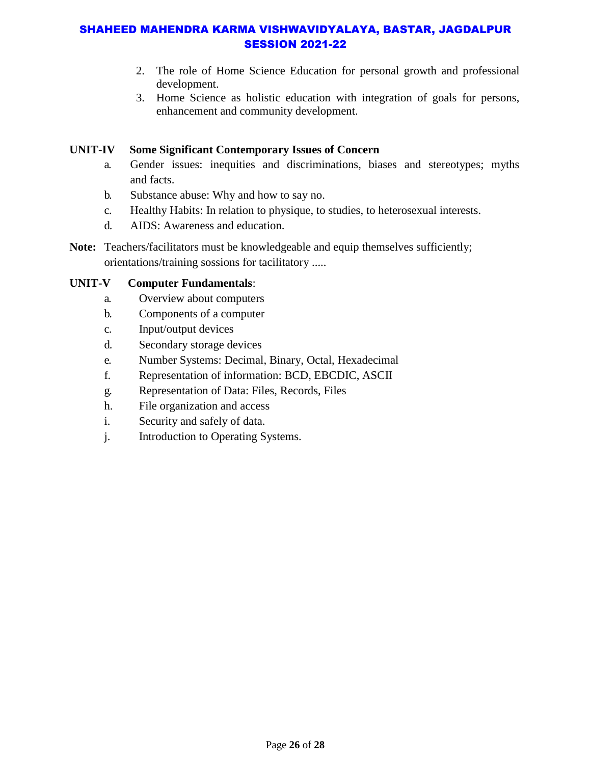- 2. The role of Home Science Education for personal growth and professional development.
- 3. Home Science as holistic education with integration of goals for persons, enhancement and community development.

# **UNIT-IV Some Significant Contemporary Issues of Concern**

- a. Gender issues: inequities and discriminations, biases and stereotypes; myths and facts.
- b. Substance abuse: Why and how to say no.
- c. Healthy Habits: In relation to physique, to studies, to heterosexual interests.
- d. AIDS: Awareness and education.
- Note: Teachers/facilitators must be knowledgeable and equip themselves sufficiently; orientations/training sossions for tacilitatory .....

# **UNIT-V Computer Fundamentals**:

- a. Overview about computers
- b. Components of a computer
- c. Input/output devices
- d. Secondary storage devices
- e. Number Systems: Decimal, Binary, Octal, Hexadecimal
- f. Representation of information: BCD, EBCDIC, ASCII
- g. Representation of Data: Files, Records, Files
- h. File organization and access
- i. Security and safely of data.
- j. Introduction to Operating Systems.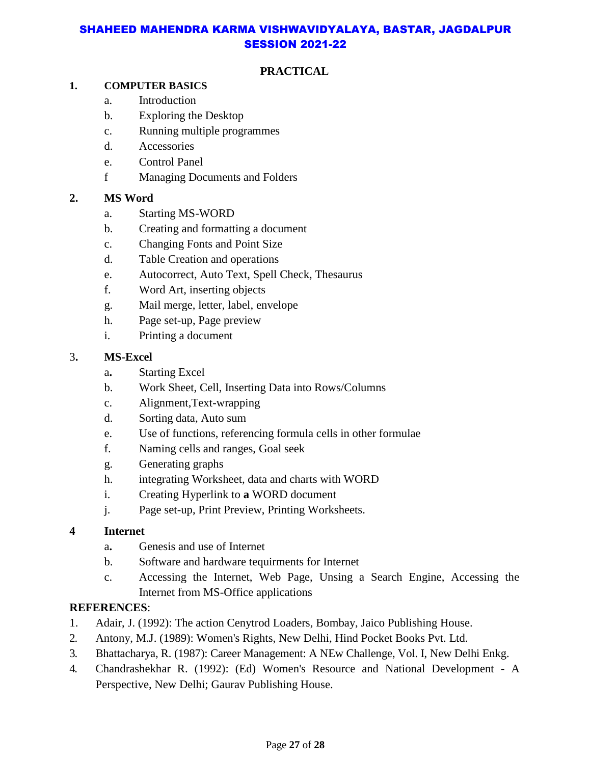# **PRACTICAL**

#### **1. COMPUTER BASICS**

- a. Introduction
- b. Exploring the Desktop
- c. Running multiple programmes
- d. Accessories
- e. Control Panel
- f Managing Documents and Folders

#### **2. MS Word**

- a. Starting MS-WORD
- b. Creating and formatting a document
- c. Changing Fonts and Point Size
- d. Table Creation and operations
- e. Autocorrect, Auto Text, Spell Check, Thesaurus
- f. Word Art, inserting objects
- g. Mail merge, letter, label, envelope
- h. Page set-up, Page preview
- i. Printing a document

#### 3**. MS-Excel**

- a**.** Starting Excel
- b. Work Sheet, Cell, Inserting Data into Rows/Columns
- c. Alignment,Text-wrapping
- d. Sorting data, Auto sum
- e. Use of functions, referencing formula cells in other formulae
- f. Naming cells and ranges, Goal seek
- g. Generating graphs
- h. integrating Worksheet, data and charts with WORD
- i. Creating Hyperlink to **a** WORD document
- j. Page set-up, Print Preview, Printing Worksheets.

#### **4 Internet**

- a**.** Genesis and use of Internet
- b. Software and hardware tequirments for Internet
- c. Accessing the Internet, Web Page, Unsing a Search Engine, Accessing the Internet from MS-Office applications

# **REFERENCES**:

- 1. Adair, J. (1992): The action Cenytrod Loaders, Bombay, Jaico Publishing House.
- 2. Antony, M.J. (1989): Women's Rights, New Delhi, Hind Pocket Books Pvt. Ltd.
- 3. Bhattacharya, R. (1987): Career Management: A NEw Challenge, Vol. I, New Delhi Enkg.
- 4. Chandrashekhar R. (1992): (Ed) Women's Resource and National Development A Perspective, New Delhi; Gaurav Publishing House.